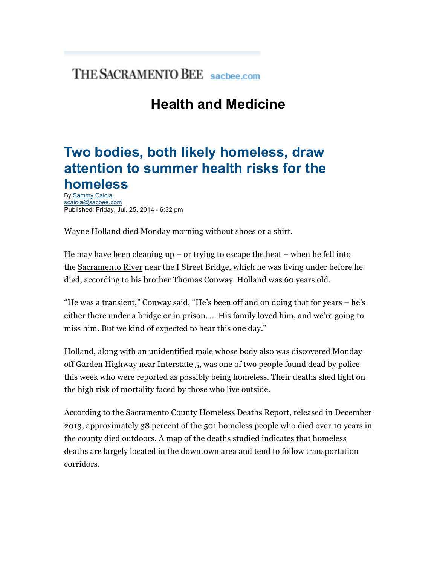## THE SACRAMENTO BEE sachee.com

## **Health and Medicine**

## **Two bodies, both likely homeless, draw attention to summer health risks for the homeless**

By Sammy Caiola scaiola@sacbee.com Published: Friday, Jul. 25, 2014 - 6:32 pm

Wayne Holland died Monday morning without shoes or a shirt.

He may have been cleaning  $up - or$  trying to escape the heat  $-$  when he fell into the Sacramento River near the I Street Bridge, which he was living under before he died, according to his brother Thomas Conway. Holland was 60 years old.

"He was a transient," Conway said. "He's been off and on doing that for years – he's either there under a bridge or in prison. ... His family loved him, and we're going to miss him. But we kind of expected to hear this one day."

Holland, along with an unidentified male whose body also was discovered Monday off Garden Highway near Interstate 5, was one of two people found dead by police this week who were reported as possibly being homeless. Their deaths shed light on the high risk of mortality faced by those who live outside.

According to the Sacramento County Homeless Deaths Report, released in December 2013, approximately 38 percent of the 501 homeless people who died over 10 years in the county died outdoors. A map of the deaths studied indicates that homeless deaths are largely located in the downtown area and tend to follow transportation corridors.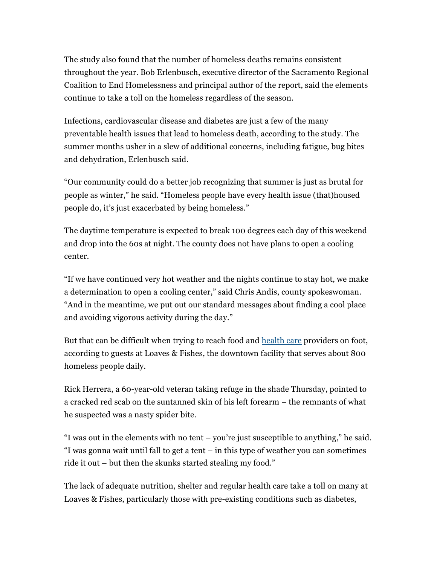The study also found that the number of homeless deaths remains consistent throughout the year. Bob Erlenbusch, executive director of the Sacramento Regional Coalition to End Homelessness and principal author of the report, said the elements continue to take a toll on the homeless regardless of the season.

Infections, cardiovascular disease and diabetes are just a few of the many preventable health issues that lead to homeless death, according to the study. The summer months usher in a slew of additional concerns, including fatigue, bug bites and dehydration, Erlenbusch said.

"Our community could do a better job recognizing that summer is just as brutal for people as winter," he said. "Homeless people have every health issue (that)housed people do, it's just exacerbated by being homeless."

The daytime temperature is expected to break 100 degrees each day of this weekend and drop into the 60s at night. The county does not have plans to open a cooling center.

"If we have continued very hot weather and the nights continue to stay hot, we make a determination to open a cooling center," said Chris Andis, county spokeswoman. "And in the meantime, we put out our standard messages about finding a cool place and avoiding vigorous activity during the day."

But that can be difficult when trying to reach food and health care providers on foot, according to guests at Loaves & Fishes, the downtown facility that serves about 800 homeless people daily.

Rick Herrera, a 60-year-old veteran taking refuge in the shade Thursday, pointed to a cracked red scab on the suntanned skin of his left forearm – the remnants of what he suspected was a nasty spider bite.

"I was out in the elements with no tent – you're just susceptible to anything," he said. "I was gonna wait until fall to get a tent – in this type of weather you can sometimes ride it out – but then the skunks started stealing my food."

The lack of adequate nutrition, shelter and regular health care take a toll on many at Loaves & Fishes, particularly those with pre-existing conditions such as diabetes,